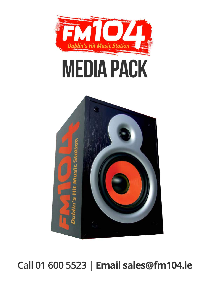

### **Call016005523|Emailsales@fm104.ie**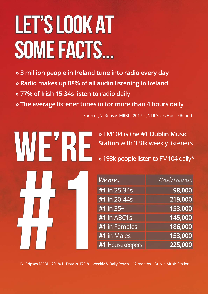### let'slookat SOME FACTS...

- » 3 million people in Ireland tune into radio every day
- **»Radiomakesup88%ofallaudiolisteninginIreland**
- **»77%ofIrish15-34slistentoradiodaily**
- » The average listener tunes in for more than 4 hours daily

Source: JNLR/Ipsos MRBI - 2017-2 JNLR Sales House Report

**»FM104isthe#1DublinMusic**

» 193k people listen to FM104 daily\*

| We are          | <b>Weekly Listeners</b> |
|-----------------|-------------------------|
| #1 in 25-34s    | 98,000                  |
| #1 in 20-44s    | 219,000                 |
| $#1$ in $35+$   | 153,000                 |
| #1 in ABC1s     | 145,000                 |
| #1 in Females   | 186,000                 |
| #1 in Males     | 153,000                 |
| #1 Housekeepers | 225,000                 |

JNLR/Ipsos MRBI - 2018/1- Data 2017/18 - Weekly & Daily Reach - 12 months - Dublin Music Station

WEREN WEMIO4 is the #1 Dublin Music<br>Station with 338k weekly listeners<br>» 193k people listen to FM104 daily\* We are...<br>
#1 in 25-34s<br>
#1 in 20-44s<br>
#1 in 35+<br>
#1 in ABC1s<br>
#1 in ABC1s<br>
#1 in Females<br>
#1 in Males<br>
#1 in Males<br>
#1 in Males<br>
#1 in Males<br>
#1 in Males<br>
#1 in Males<br>
#1 HOUSekeepers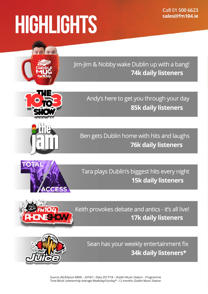#### Source: JNLR/Ipsos MRBI - 2018/1- Data 2017/18 - Dublin Music Station - Programme Time Block Listenership Average Weekday/Sunday\* -12 months-Dublin Music Station

Jim-Jim & Nobby wake Dublin up with a bang! **74k daily listeners** 

> Andy's here to get you through your day **85k daily listeners**

Ben gets Dublin home with hits and laughs **76k daily listeners** 

Tara plays Dublin's biggest hits every night **15k daily listeners** 

Keith provokes debate and antics - it's all live! **17k daily listeners** 

Sean has your weekly entertainment fix 34k daily listeners\*



CESS











HIGHLIGHTS

Call 01 500 6623 sales@fm104.ie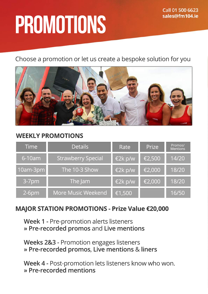# **PROMOTIONS**

#### Choose a promotion or let us create a bespoke solution for you



#### **WEEKLYPROMOTIONS**

| <b>Time</b> | <b>Details</b>            | Rate       | Prize  | Promos/<br><b>Mentions</b> |
|-------------|---------------------------|------------|--------|----------------------------|
| 6-10am      | <b>Strawberry Special</b> | E2k p/w    | €2,500 | 14/20                      |
| $10$ am-3pm | The 10-3 Show             | €2 $k$ p/w | €2,000 | 18/20                      |
| $3-7pm$     | The Jam                   | E2k p/w    | €2,000 | 18/20                      |
| $2-6$ pm    | <b>More Music Weekend</b> | €1,500     |        | 16/50                      |

#### **MAJOR STATION PROMOTIONS - Prize Value €20,000**

Week 1 - Pre-promotion alerts listeners **»Pre-recordedpromos**and**Livementions**

Weeks 2&3 - Promotion engages listeners **»Pre-recordedpromos**,**Livementions**&**liners**

Week 4 - Post-promotion lets listeners know who won. **»Pre-recordedmentions**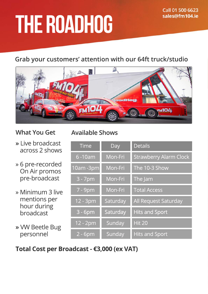# **THE ROADHOG**

#### Grab your customers' attention with our 64ft truck/studio



#### **What You Get**

- **»**Livebroadcast across 2 shows
- » 6 pre-recorded On Air promos pre-broadcast
- »Minimum3live mentions per hour during broadcast
- **»**VWBeetleBug personnel

#### **AvailableShows**

| Time           | Day      | <b>Details</b>                |
|----------------|----------|-------------------------------|
| 6-10am         | Mon-Fri  | <b>Strawberry Alarm Clock</b> |
| 10am-3pm       | Mon-Fri  | The 10-3 Show                 |
| $3 - 7pm$      | Mon-Fri  | The Jam                       |
| <u>7 - 9pm</u> | Mon-Fri  | <b>Total Access</b>           |
| 12 - 3pm       | Saturday | All Request Saturday          |
| $3 - 6pm$      | Saturday | <b>Hits and Sport</b>         |
| 12 - 2pm       | Sunday   | <b>Hit 20</b>                 |
| $2 - 6pm$      | Sunday   | <b>Hits and Sport</b>         |

Total Cost per Broadcast - €3,000 (ex VAT)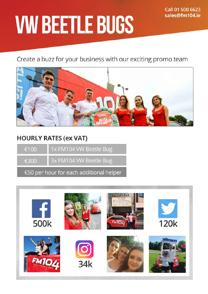#### Call 01 500 6623 sales@fm104.ie

# **VW BEETLE BUGS**

Create a buzz for your business with our exciting promo team



#### **HOURLY RATES (ex VAT)**

|      | €50 per hour for each additional helper |
|------|-----------------------------------------|
| €300 | 3x FM104 VW Beetle Bug                  |
| €100 | 1x FM104 VW Beetle Bug                  |

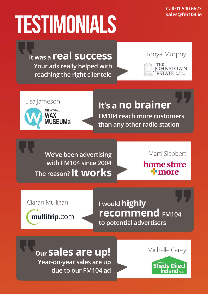Call 01 500 6623 sales@fm104.ie

# TESTIMONIALS

It was a **real success** 

Your ads really helped with reaching the right clientele

#### Tonya Murphy **JOHNSTOWN ESTATE**



### It's a no brainer

**FM104 reach more customers** than any other radio station

We've been advertising with FM104 since 2004 The reason? It works

Marti Slabbert home store  $\blacksquare$ more

Ciarán Mulligan multitrip.com I would highly **recommend** FM104 to potential advertisers

### our sales are up!

Year-on-year sales are up due to our FM104 ad

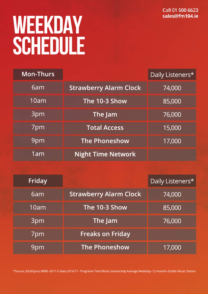### **WEEKDAY** SCHEDULE

| <b>Mon-Thurs</b> |                               | Daily Listeners* |
|------------------|-------------------------------|------------------|
| 6am              | <b>Strawberry Alarm Clock</b> | 74,000           |
| 10am             | The 10-3 Show                 | 85,000           |
| 3pm              | The Jam                       | 76,000           |
| 7pm              | <b>Total Access</b>           | 15,000           |
| 9pm              | The Phoneshow                 | 17,000           |
| 1am              | <b>Night Time Network</b>     |                  |

| Friday |                               | Daily Listeners* |
|--------|-------------------------------|------------------|
| 6am    | <b>Strawberry Alarm Clock</b> | 74,000           |
| 10am   | The 10-3 Show                 | 85,000           |
| 3pm    | The Jam                       | 76,000           |
| 7pm    | <b>Freaks on Friday</b>       |                  |
| 9pm    | <b>The Phoneshow</b>          | 17,000           |

\*Source:JNLR/IpsosMRBI–2017-3–Data2016/17–ProgrameTimeBlockListenershipAverageWeekday–12months–DublinMusicStation